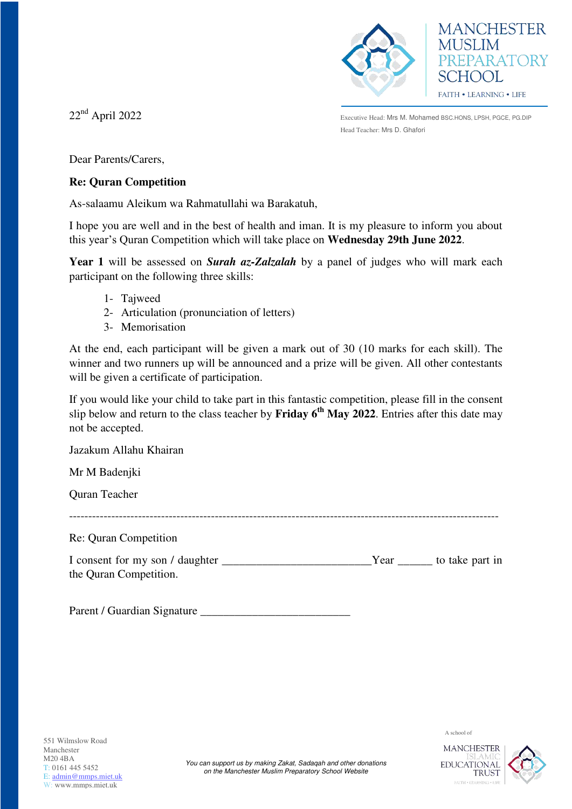



22nd April 2022

Executive Head: Mrs M. Mohamed BSC.HONS, LPSH, PGCE, PG.DIP Head Teacher: Mrs D. Ghafori

Dear Parents/Carers,

### **Re: Quran Competition**

As-salaamu Aleikum wa Rahmatullahi wa Barakatuh,

I hope you are well and in the best of health and iman. It is my pleasure to inform you about this year's Quran Competition which will take place on **Wednesday 29th June 2022**.

**Year 1** will be assessed on *Surah az-Zalzalah* by a panel of judges who will mark each participant on the following three skills:

- 1- Tajweed
- 2- Articulation (pronunciation of letters)
- 3- Memorisation

At the end, each participant will be given a mark out of 30 (10 marks for each skill). The winner and two runners up will be announced and a prize will be given. All other contestants will be given a certificate of participation.

If you would like your child to take part in this fantastic competition, please fill in the consent slip below and return to the class teacher by **Friday 6th May 2022**. Entries after this date may not be accepted.

Jazakum Allahu Khairan

Mr M Badenjki

Quran Teacher

Re: Quran Competition

| I consent for my son / daughter | Y ear | to take part in |
|---------------------------------|-------|-----------------|
| the Quran Competition.          |       |                 |

----------------------------------------------------------------------------------------------------------------

Parent / Guardian Signature \_\_\_\_\_\_\_\_\_\_\_\_\_\_\_\_\_\_\_\_\_\_\_\_\_\_

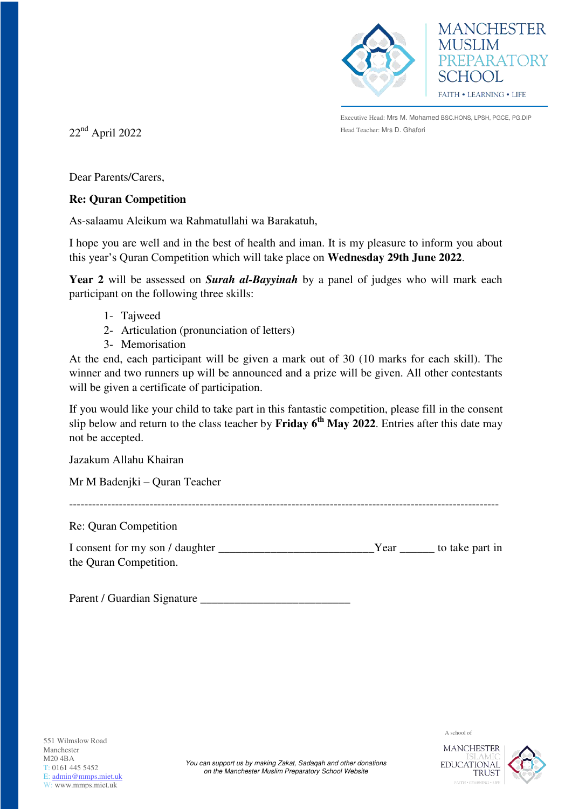



Executive Head: Mrs M. Mohamed BSC.HONS, LPSH, PGCE, PG.DIP

 $22<sup>nd</sup>$  April 2022

Dear Parents/Carers,

### **Re: Quran Competition**

As-salaamu Aleikum wa Rahmatullahi wa Barakatuh,

I hope you are well and in the best of health and iman. It is my pleasure to inform you about this year's Quran Competition which will take place on **Wednesday 29th June 2022**.

**Year 2** will be assessed on *Surah al-Bayyinah* by a panel of judges who will mark each participant on the following three skills:

- 1- Tajweed
- 2- Articulation (pronunciation of letters)
- 3- Memorisation

At the end, each participant will be given a mark out of 30 (10 marks for each skill). The winner and two runners up will be announced and a prize will be given. All other contestants will be given a certificate of participation.

If you would like your child to take part in this fantastic competition, please fill in the consent slip below and return to the class teacher by **Friday 6th May 2022**. Entries after this date may not be accepted.

Jazakum Allahu Khairan

Mr M Badenjki – Quran Teacher

Re: Quran Competition

I consent for my son / daughter The True of True Year True to take part in the Quran Competition.

----------------------------------------------------------------------------------------------------------------

Parent / Guardian Signature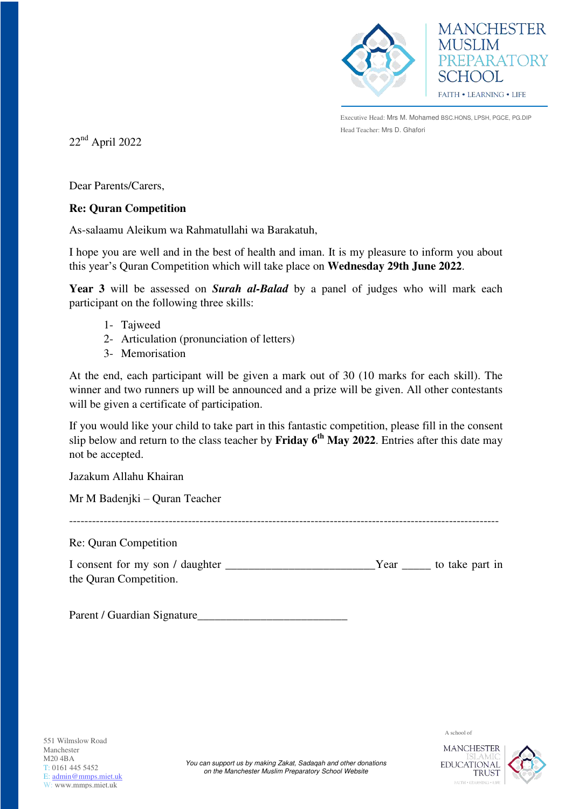



Executive Head: Mrs M. Mohamed BSC.HONS, LPSH, PGCE, PG.DIP Head Teacher: Mrs D. Ghafori

 $22<sup>nd</sup>$  April 2022

Dear Parents/Carers,

# **Re: Quran Competition**

As-salaamu Aleikum wa Rahmatullahi wa Barakatuh,

I hope you are well and in the best of health and iman. It is my pleasure to inform you about this year's Quran Competition which will take place on **Wednesday 29th June 2022**.

**Year 3** will be assessed on *Surah al-Balad* by a panel of judges who will mark each participant on the following three skills:

- 1- Tajweed
- 2- Articulation (pronunciation of letters)
- 3- Memorisation

At the end, each participant will be given a mark out of 30 (10 marks for each skill). The winner and two runners up will be announced and a prize will be given. All other contestants will be given a certificate of participation.

If you would like your child to take part in this fantastic competition, please fill in the consent slip below and return to the class teacher by **Friday 6th May 2022**. Entries after this date may not be accepted.

Jazakum Allahu Khairan

Mr M Badenjki – Quran Teacher

Re: Quran Competition

| I consent for my son / daughter | Year | to take part in |  |
|---------------------------------|------|-----------------|--|
| the Quran Competition.          |      |                 |  |

----------------------------------------------------------------------------------------------------------------

Parent / Guardian Signature

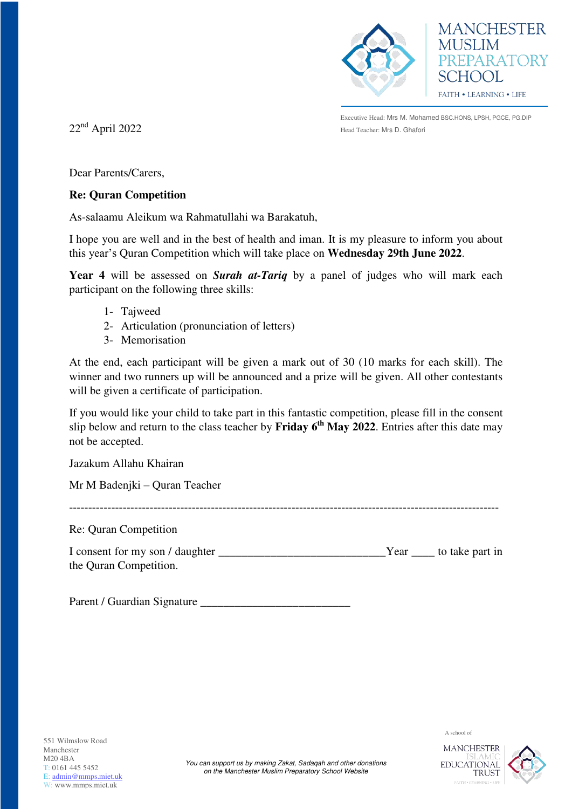



Executive Head: Mrs M. Mohamed BSC.HONS, LPSH, PGCE, PG.DIP  $22^{\rm nd}$  April 2022 Head Teacher: Mrs D. Ghafori

Dear Parents/Carers,

## **Re: Quran Competition**

As-salaamu Aleikum wa Rahmatullahi wa Barakatuh,

I hope you are well and in the best of health and iman. It is my pleasure to inform you about this year's Quran Competition which will take place on **Wednesday 29th June 2022**.

**Year 4** will be assessed on *Surah at-Tariq* by a panel of judges who will mark each participant on the following three skills:

- 1- Tajweed
- 2- Articulation (pronunciation of letters)
- 3- Memorisation

At the end, each participant will be given a mark out of 30 (10 marks for each skill). The winner and two runners up will be announced and a prize will be given. All other contestants will be given a certificate of participation.

If you would like your child to take part in this fantastic competition, please fill in the consent slip below and return to the class teacher by **Friday 6th May 2022**. Entries after this date may not be accepted.

Jazakum Allahu Khairan

Mr M Badenjki – Quran Teacher

----------------------------------------------------------------------------------------------------------------

Re: Quran Competition

| I consent for my son / daughter |  | Year ______ to take part in |
|---------------------------------|--|-----------------------------|
| the Quran Competition.          |  |                             |

Parent / Guardian Signature \_\_\_\_\_\_\_\_\_\_\_\_\_\_\_\_\_\_\_\_\_\_\_\_\_\_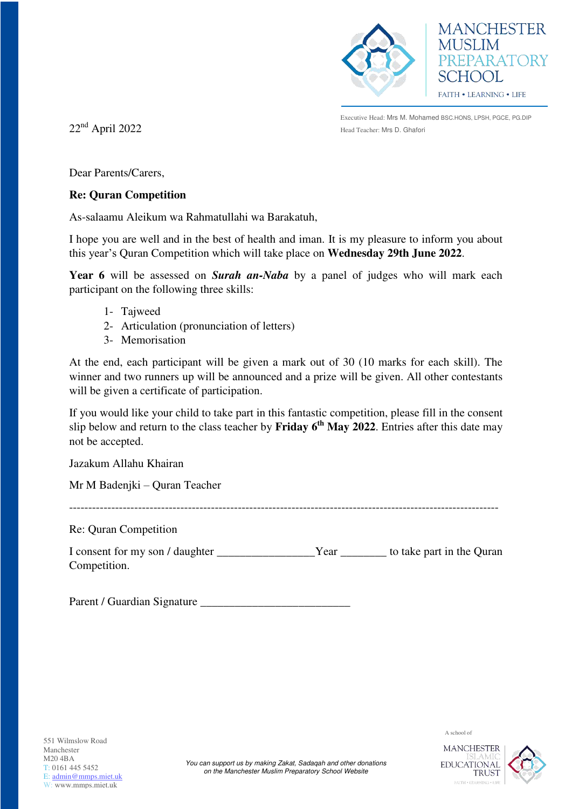



Executive Head: Mrs M. Mohamed BSC.HONS, LPSH, PGCE, PG.DIP  $22^{\rm nd}$  April 2022 Head Teacher: Mrs D. Ghafori

Dear Parents/Carers,

# **Re: Quran Competition**

As-salaamu Aleikum wa Rahmatullahi wa Barakatuh,

I hope you are well and in the best of health and iman. It is my pleasure to inform you about this year's Quran Competition which will take place on **Wednesday 29th June 2022**.

**Year 6** will be assessed on *Surah an-Naba* by a panel of judges who will mark each participant on the following three skills:

- 1- Tajweed
- 2- Articulation (pronunciation of letters)
- 3- Memorisation

At the end, each participant will be given a mark out of 30 (10 marks for each skill). The winner and two runners up will be announced and a prize will be given. All other contestants will be given a certificate of participation.

If you would like your child to take part in this fantastic competition, please fill in the consent slip below and return to the class teacher by **Friday 6th May 2022**. Entries after this date may not be accepted.

Jazakum Allahu Khairan

Mr M Badenjki – Quran Teacher

----------------------------------------------------------------------------------------------------------------

Re: Quran Competition

| I consent for my son / daughter | Y ear | to take part in the Quran |
|---------------------------------|-------|---------------------------|
| Competition.                    |       |                           |

Parent / Guardian Signature \_\_\_\_\_\_\_\_\_\_\_\_\_\_\_\_\_\_\_\_\_\_\_\_\_\_